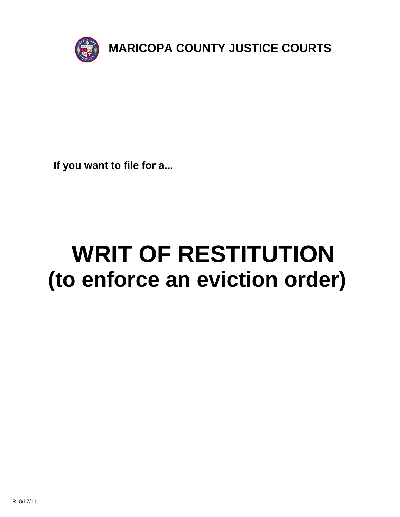

**If you want to file for a...**

# **WRIT OF RESTITUTION (to enforce an eviction order)**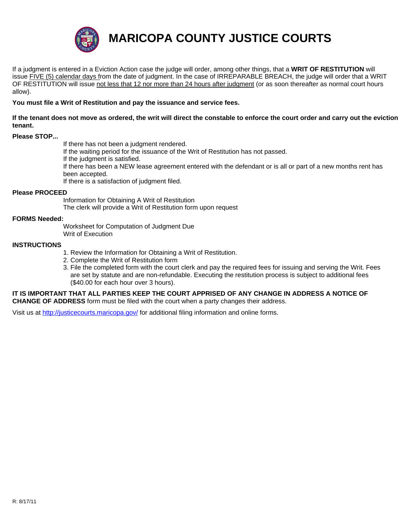

**MARICOPA COUNTY JUSTICE COURTS**

If a judgment is entered in a Eviction Action case the judge will order, among other things, that a **WRIT OF RESTITUTION** will issue FIVE (5) calendar days from the date of judgment. In the case of IRREPARABLE BREACH, the judge will order that a WRIT OF RESTITUTION will issue not less that 12 nor more than 24 hours after judgment (or as soon thereafter as normal court hours allow).

**You must file a Writ of Restitution and pay the issuance and service fees.**

If the tenant does not move as ordered, the writ will direct the constable to enforce the court order and carry out the eviction **tenant.**

### **Please STOP...**

If there has not been a judgment rendered.

If the waiting period for the issuance of the Writ of Restitution has not passed.

If the judgment is satisfied.

If there has been a NEW lease agreement entered with the defendant or is all or part of a new months rent has been accepted.

If there is a satisfaction of judgment filed.

#### **Please PROCEED**

Information for Obtaining A Writ of Restitution The clerk will provide a Writ of Restitution form upon request

#### **FORMS Needed:**

Worksheet for Computation of Judgment Due Writ of Execution

#### **INSTRUCTIONS**

- 1. Review the Information for Obtaining a Writ of Restitution.
- 2. Complete the Writ of Restitution form
- 3. File the completed form with the court clerk and pay the required fees for issuing and serving the Writ. Fees are set by statute and are non-refundable. Executing the restitution process is subject to additional fees (\$40.00 for each hour over 3 hours).

**IT IS IMPORTANT THAT ALL PARTIES KEEP THE COURT APPRISED OF ANY CHANGE IN ADDRESS A NOTICE OF CHANGE OF ADDRESS** form must be filed with the court when a party changes their address.

Visit us at http://justicecourts.maricopa.gov/ for additional filing information and online forms.